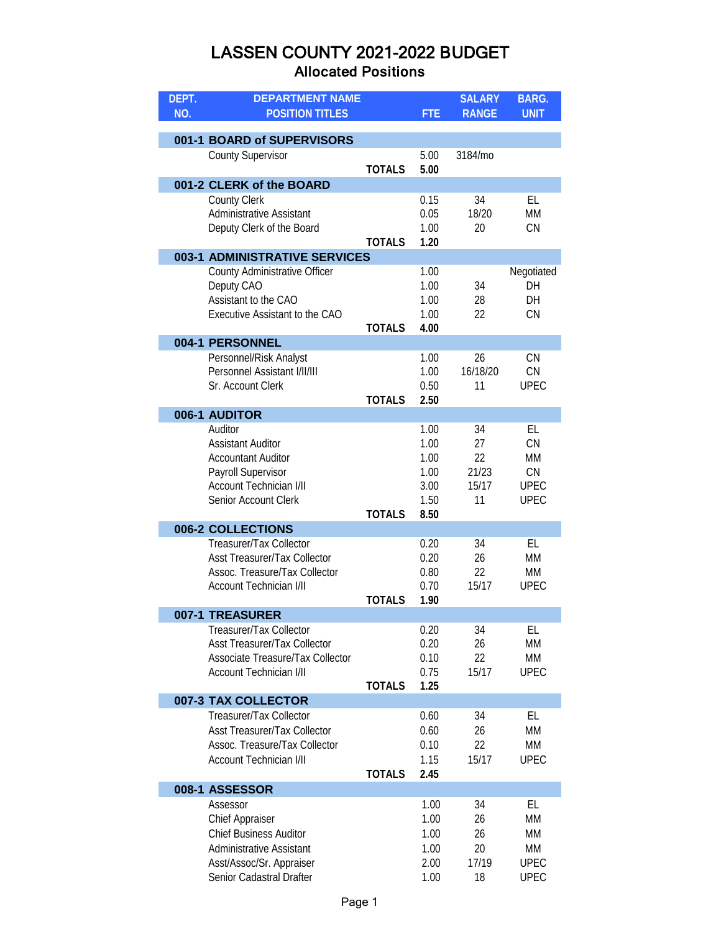| DEPT. | <b>DEPARTMENT NAME</b>                                   |               |              | <b>SALARY</b>  | <b>BARG.</b>      |
|-------|----------------------------------------------------------|---------------|--------------|----------------|-------------------|
| NO.   | <b>POSITION TITLES</b>                                   |               | <b>FTE</b>   | <b>RANGE</b>   | <b>UNIT</b>       |
|       | 001-1 BOARD of SUPERVISORS                               |               |              |                |                   |
|       | <b>County Supervisor</b>                                 |               | 5.00         | 3184/mo        |                   |
|       |                                                          | <b>TOTALS</b> | 5.00         |                |                   |
|       | 001-2 CLERK of the BOARD                                 |               |              |                |                   |
|       | <b>County Clerk</b><br><b>Administrative Assistant</b>   |               | 0.15<br>0.05 | 34<br>18/20    | EL<br><b>MM</b>   |
|       | Deputy Clerk of the Board                                |               | 1.00         | 20             | CN                |
|       |                                                          | <b>TOTALS</b> | 1.20         |                |                   |
|       | 003-1 ADMINISTRATIVE SERVICES                            |               |              |                |                   |
|       | County Administrative Officer                            |               | 1.00<br>1.00 | 34             | Negotiated<br>DH  |
|       | Deputy CAO<br>Assistant to the CAO                       |               | 1.00         | 28             | DH                |
|       | Executive Assistant to the CAO                           |               | 1.00         | 22             | CN                |
|       |                                                          | <b>TOTALS</b> | 4.00         |                |                   |
|       | 004-1 PERSONNEL                                          |               |              |                |                   |
|       | Personnel/Risk Analyst<br>Personnel Assistant I/II/III   |               | 1.00         | 26             | <b>CN</b>         |
|       | Sr. Account Clerk                                        |               | 1.00<br>0.50 | 16/18/20<br>11 | CN<br><b>UPEC</b> |
|       |                                                          | <b>TOTALS</b> | 2.50         |                |                   |
|       | 006-1 AUDITOR                                            |               |              |                |                   |
|       | Auditor                                                  |               | 1.00         | 34             | EL                |
|       | <b>Assistant Auditor</b>                                 |               | 1.00         | 27             | CN                |
|       | <b>Accountant Auditor</b>                                |               | 1.00         | 22             | МM                |
|       | Payroll Supervisor<br><b>Account Technician I/II</b>     |               | 1.00<br>3.00 | 21/23<br>15/17 | CN<br><b>UPEC</b> |
|       | Senior Account Clerk                                     |               | 1.50         | 11             | <b>UPEC</b>       |
|       |                                                          | <b>TOTALS</b> | 8.50         |                |                   |
|       | 006-2 COLLECTIONS                                        |               |              |                |                   |
|       | Treasurer/Tax Collector                                  |               | 0.20         | 34             | EL                |
|       | <b>Asst Treasurer/Tax Collector</b>                      |               | 0.20         | 26             | МM                |
|       | Assoc. Treasure/Tax Collector<br>Account Technician I/II |               | 0.80<br>0.70 | 22<br>15/17    | MM                |
|       |                                                          | <b>TOTALS</b> | 1.90         |                | <b>UPEC</b>       |
|       | 007-1 TREASURER                                          |               |              |                |                   |
|       | Treasurer/Tax Collector                                  |               | 0.20         | 34             | EL                |
|       | <b>Asst Treasurer/Tax Collector</b>                      |               | 0.20         | 26             | <b>MM</b>         |
|       | Associate Treasure/Tax Collector                         |               | 0.10         | 22             | MM                |
|       | <b>Account Technician I/II</b>                           |               | 0.75         | 15/17          | <b>UPEC</b>       |
|       | 007-3 TAX COLLECTOR                                      | <b>TOTALS</b> | 1.25         |                |                   |
|       | Treasurer/Tax Collector                                  |               | 0.60         | 34             | EL                |
|       | <b>Asst Treasurer/Tax Collector</b>                      |               | 0.60         | 26             | MM                |
|       | Assoc. Treasure/Tax Collector                            |               | 0.10         | 22             | MM                |
|       | Account Technician I/II                                  |               | 1.15         | 15/17          | <b>UPEC</b>       |
|       |                                                          | <b>TOTALS</b> | 2.45         |                |                   |
|       | 008-1 ASSESSOR<br>Assessor                               |               | 1.00         | 34             | EL                |
|       | <b>Chief Appraiser</b>                                   |               | 1.00         | 26             | MM                |
|       | <b>Chief Business Auditor</b>                            |               | 1.00         | 26             | MM                |
|       | <b>Administrative Assistant</b>                          |               | 1.00         | 20             | MM                |
|       | Asst/Assoc/Sr. Appraiser                                 |               | 2.00         | 17/19          | <b>UPEC</b>       |
|       | Senior Cadastral Drafter                                 |               | 1.00         | 18             | <b>UPEC</b>       |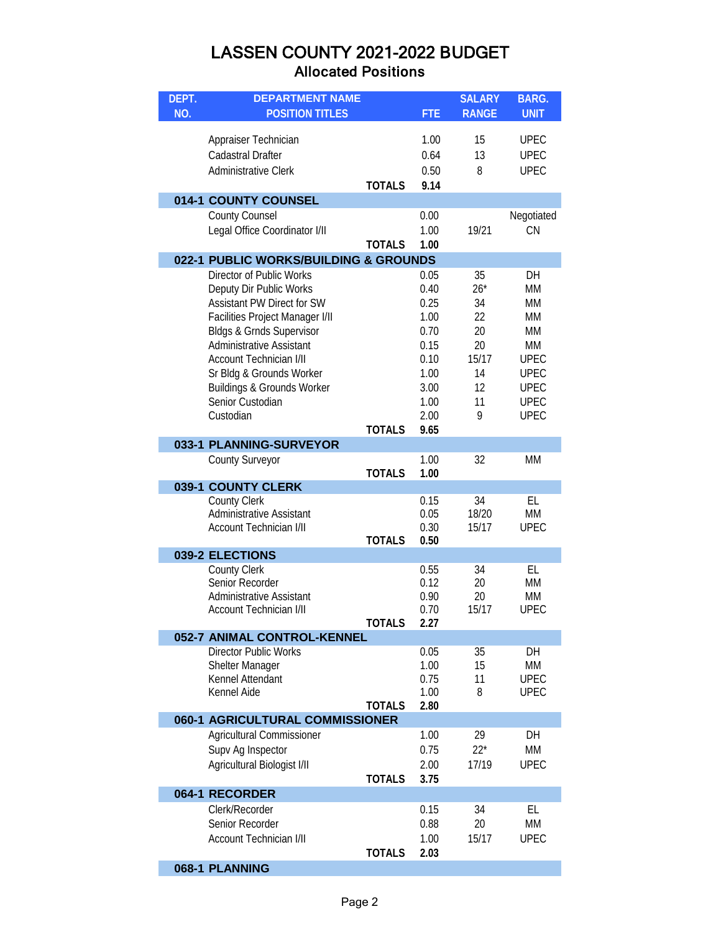| DEPT. | <b>DEPARTMENT NAME</b>                |               |            | <b>SALARY</b> | <b>BARG.</b> |
|-------|---------------------------------------|---------------|------------|---------------|--------------|
| NO.   | <b>POSITION TITLES</b>                |               | <b>FTE</b> | <b>RANGE</b>  | <b>UNIT</b>  |
|       |                                       |               |            |               |              |
|       | Appraiser Technician                  |               | 1.00       | 15            | <b>UPEC</b>  |
|       | <b>Cadastral Drafter</b>              |               | 0.64       | 13            | <b>UPEC</b>  |
|       | <b>Administrative Clerk</b>           |               | 0.50       | 8             | <b>UPEC</b>  |
|       |                                       | <b>TOTALS</b> | 9.14       |               |              |
|       |                                       |               |            |               |              |
|       | 014-1 COUNTY COUNSEL                  |               |            |               |              |
|       | <b>County Counsel</b>                 |               | 0.00       |               | Negotiated   |
|       | Legal Office Coordinator I/II         |               | 1.00       | 19/21         | CN           |
|       |                                       | <b>TOTALS</b> | 1.00       |               |              |
|       | 022-1 PUBLIC WORKS/BUILDING & GROUNDS |               |            |               |              |
|       | Director of Public Works              |               | 0.05       | 35            | DH           |
|       | Deputy Dir Public Works               |               | 0.40       | $26*$         | MM           |
|       | Assistant PW Direct for SW            |               | 0.25       | 34            | MM           |
|       | Facilities Project Manager I/II       |               | 1.00       | 22            | MM           |
|       | <b>Bldgs &amp; Grnds Supervisor</b>   |               | 0.70       | 20            | MM           |
|       | <b>Administrative Assistant</b>       |               | 0.15       | 20            | MM           |
|       | <b>Account Technician I/II</b>        |               | 0.10       | 15/17         | <b>UPEC</b>  |
|       | Sr Bldg & Grounds Worker              |               | 1.00       | 14            | <b>UPEC</b>  |
|       | Buildings & Grounds Worker            |               | 3.00       | 12            | <b>UPEC</b>  |
|       | Senior Custodian                      |               | 1.00       | 11            | <b>UPEC</b>  |
|       | Custodian                             |               | 2.00       | 9             | <b>UPEC</b>  |
|       |                                       | <b>TOTALS</b> | 9.65       |               |              |
|       | 033-1 PLANNING-SURVEYOR               |               |            |               |              |
|       | <b>County Surveyor</b>                |               | 1.00       | 32            | MM           |
|       |                                       | <b>TOTALS</b> | 1.00       |               |              |
|       | 039-1 COUNTY CLERK                    |               |            |               |              |
|       | <b>County Clerk</b>                   |               | 0.15       | 34            | EL           |
|       | <b>Administrative Assistant</b>       |               | 0.05       | 18/20         | MM           |
|       | <b>Account Technician I/II</b>        |               | 0.30       | 15/17         | <b>UPEC</b>  |
|       |                                       | <b>TOTALS</b> | 0.50       |               |              |
|       | 039-2 ELECTIONS                       |               |            |               |              |
|       | <b>County Clerk</b>                   |               | 0.55       | 34            | EL           |
|       | Senior Recorder                       |               | 0.12       | 20            | MM           |
|       | <b>Administrative Assistant</b>       |               | 0.90       | 20            | MM           |
|       | <b>Account Technician I/II</b>        |               | 0.70       | 15/17         | <b>UPEC</b>  |
|       |                                       | TOTALS        | 2.27       |               |              |
|       | 052-7 ANIMAL CONTROL-KENNEL           |               |            |               |              |
|       | <b>Director Public Works</b>          |               | 0.05       | 35            | DH           |
|       | <b>Shelter Manager</b>                |               | 1.00       | 15            | <b>MM</b>    |
|       | Kennel Attendant                      |               | 0.75       | 11            | <b>UPEC</b>  |
|       | Kennel Aide                           |               | 1.00       | 8             | <b>UPEC</b>  |
|       |                                       | <b>TOTALS</b> | 2.80       |               |              |
|       | 060-1 AGRICULTURAL COMMISSIONER       |               |            |               |              |
|       | Agricultural Commissioner             |               | 1.00       | 29            | DH           |
|       | Supv Ag Inspector                     |               | 0.75       | $22*$         | <b>MM</b>    |
|       | Agricultural Biologist I/II           |               | 2.00       | 17/19         | <b>UPEC</b>  |
|       |                                       | <b>TOTALS</b> | 3.75       |               |              |
|       | 064-1 RECORDER                        |               |            |               |              |
|       | Clerk/Recorder                        |               | 0.15       | 34            | EL           |
|       | Senior Recorder                       |               | 0.88       | 20            | MM           |
|       | <b>Account Technician I/II</b>        |               | 1.00       | 15/17         | <b>UPEC</b>  |
|       |                                       | <b>TOTALS</b> | 2.03       |               |              |
|       |                                       |               |            |               |              |
|       | 068-1 PLANNING                        |               |            |               |              |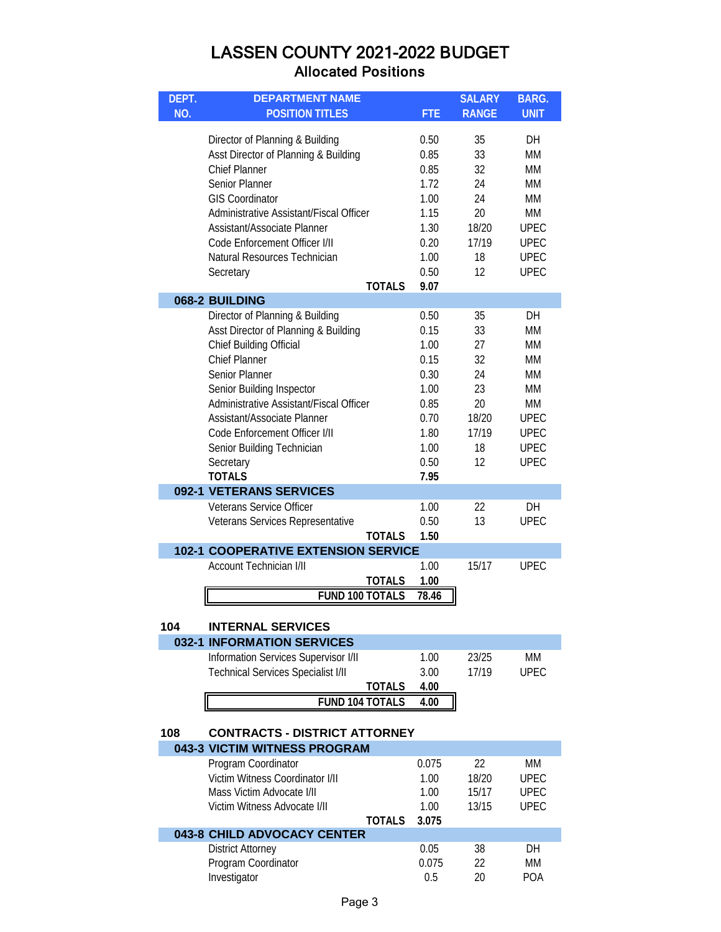| DEPT. | <b>DEPARTMENT NAME</b>                     |               |            | <b>SALARY</b> | <b>BARG.</b> |
|-------|--------------------------------------------|---------------|------------|---------------|--------------|
| NO.   | <b>POSITION TITLES</b>                     |               | <b>FTE</b> | <b>RANGE</b>  | <b>UNIT</b>  |
|       |                                            |               |            |               |              |
|       | Director of Planning & Building            |               | 0.50       | 35            | DН           |
|       | Asst Director of Planning & Building       |               | 0.85       | 33            | <b>MM</b>    |
|       | <b>Chief Planner</b>                       |               | 0.85       | 32            | <b>MM</b>    |
|       | <b>Senior Planner</b>                      |               | 1.72       | 24            | <b>MM</b>    |
|       | <b>GIS Coordinator</b>                     |               | 1.00       | 24            | MM           |
|       | Administrative Assistant/Fiscal Officer    |               | 1.15       | 20            | МM           |
|       | Assistant/Associate Planner                |               | 1.30       | 18/20         | <b>UPEC</b>  |
|       | Code Enforcement Officer I/II              |               | 0.20       | 17/19         | <b>UPEC</b>  |
|       | Natural Resources Technician               |               | 1.00       | 18            | <b>UPEC</b>  |
|       | Secretary                                  |               | 0.50       | 12            | <b>UPEC</b>  |
|       |                                            | <b>TOTALS</b> | 9.07       |               |              |
|       | 068-2 BUILDING                             |               |            |               |              |
|       | Director of Planning & Building            |               | 0.50       | 35            | <b>DH</b>    |
|       | Asst Director of Planning & Building       |               | 0.15       | 33            | <b>MM</b>    |
|       | Chief Building Official                    |               | 1.00       | 27            | МM           |
|       | <b>Chief Planner</b>                       |               | 0.15       | 32            | <b>MM</b>    |
|       | <b>Senior Planner</b>                      |               | 0.30       | 24            | <b>MM</b>    |
|       | Senior Building Inspector                  |               | 1.00       | 23            | MM           |
|       | Administrative Assistant/Fiscal Officer    |               | 0.85       | 20            | МM           |
|       | Assistant/Associate Planner                |               | 0.70       | 18/20         | <b>UPEC</b>  |
|       | Code Enforcement Officer I/II              |               | 1.80       | 17/19         | <b>UPEC</b>  |
|       | Senior Building Technician                 |               | 1.00       | 18            | <b>UPEC</b>  |
|       | Secretary                                  |               | 0.50       | 12            | <b>UPEC</b>  |
|       | <b>TOTALS</b>                              |               | 7.95       |               |              |
|       | 092-1 VETERANS SERVICES                    |               |            |               |              |
|       | <b>Veterans Service Officer</b>            |               | 1.00       | 22            | DH           |
|       | Veterans Services Representative           |               | 0.50       | 13            | <b>UPEC</b>  |
|       |                                            | <b>TOTALS</b> | 1.50       |               |              |
|       | <b>102-1 COOPERATIVE EXTENSION SERVICE</b> |               |            |               |              |
|       | <b>Account Technician I/II</b>             |               | 1.00       | 15/17         | <b>UPEC</b>  |
|       |                                            | <b>TOTALS</b> | 1.00       |               |              |
|       | <b>FUND 100 TOTALS</b>                     |               | 78.46      |               |              |
|       | <b>INTERNAL SERVICES</b>                   |               |            |               |              |
| 104   | <b>032-1 INFORMATION SERVICES</b>          |               |            |               |              |
|       | Information Services Supervisor I/II       |               | 1.00       | 23/25         | МM           |
|       | <b>Technical Services Specialist I/II</b>  |               | 3.00       | 17/19         | <b>UPEC</b>  |
|       |                                            | <b>TOTALS</b> | 4.00       |               |              |
|       | <b>FUND 104 TOTALS</b>                     |               | 4.00       |               |              |
|       |                                            |               |            |               |              |
| 108   | <b>CONTRACTS - DISTRICT ATTORNEY</b>       |               |            |               |              |
|       | 043-3 VICTIM WITNESS PROGRAM               |               |            |               |              |
|       | Program Coordinator                        |               | 0.075      | 22            | <b>MM</b>    |
|       | Victim Witness Coordinator I/II            |               | 1.00       | 18/20         | <b>UPEC</b>  |
|       | Mass Victim Advocate I/II                  |               | 1.00       | 15/17         | <b>UPEC</b>  |
|       | Victim Witness Advocate I/II               |               | 1.00       | 13/15         | <b>UPEC</b>  |
|       |                                            | <b>TOTALS</b> | 3.075      |               |              |
|       | 043-8 CHILD ADVOCACY CENTER                |               |            |               |              |
|       | <b>District Attorney</b>                   |               | 0.05       | 38            | DH           |
|       | Program Coordinator                        |               | 0.075      | 22            | MM           |
|       | Investigator                               |               | 0.5        | 20            | <b>POA</b>   |

Investigator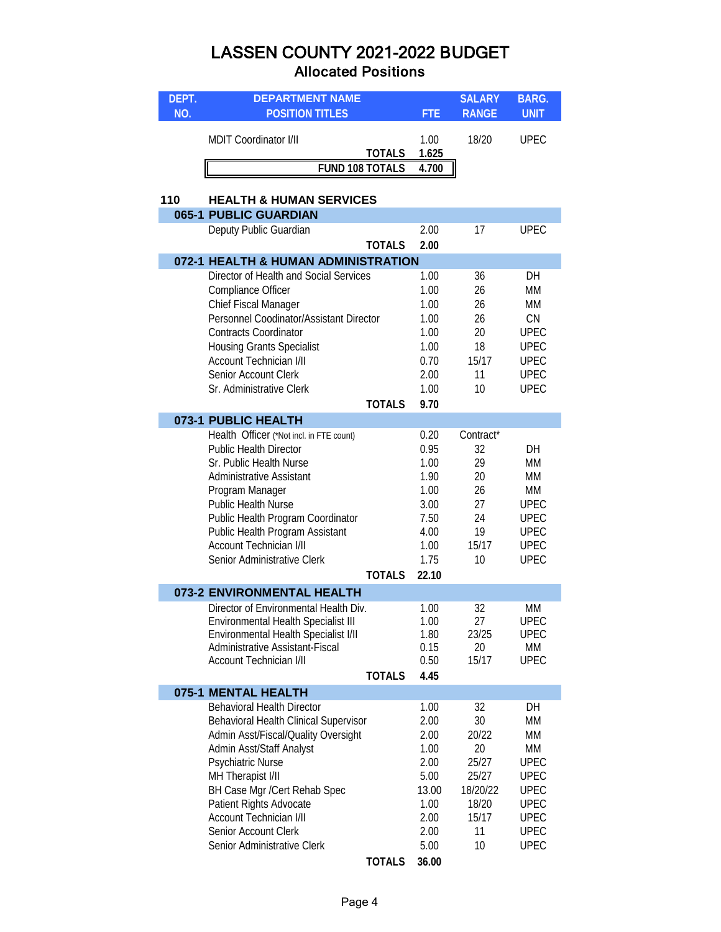| DEPT. | <b>DEPARTMENT NAME</b>                                      |               |               | <b>SALARY</b> | <b>BARG.</b> |
|-------|-------------------------------------------------------------|---------------|---------------|---------------|--------------|
| NO.   | <b>POSITION TITLES</b>                                      |               | <b>FTE</b>    | <b>RANGE</b>  | <b>UNIT</b>  |
|       | MDIT Coordinator I/II                                       | <u>TOTALS</u> | 1.00<br>1.625 | 18/20         | <b>UPEC</b>  |
|       | <b>FUND 108 TOTALS</b>                                      |               | 4.700         |               |              |
|       |                                                             |               |               |               |              |
| 110   | <b>HEALTH &amp; HUMAN SERVICES</b><br>065-1 PUBLIC GUARDIAN |               |               |               |              |
|       | Deputy Public Guardian                                      |               | 2.00          | 17            | <b>UPEC</b>  |
|       |                                                             | <b>TOTALS</b> | 2.00          |               |              |
|       | 072-1 HEALTH & HUMAN ADMINISTRATION                         |               |               |               |              |
|       | Director of Health and Social Services                      |               | 1.00          | 36            | DH           |
|       | Compliance Officer                                          |               | 1.00          | 26            | MM           |
|       | Chief Fiscal Manager                                        |               | 1.00          | 26            | MM           |
|       | Personnel Coodinator/Assistant Director                     |               | 1.00          | 26            | CN           |
|       | <b>Contracts Coordinator</b>                                |               | 1.00          | 20            | <b>UPEC</b>  |
|       | <b>Housing Grants Specialist</b>                            |               | 1.00          | 18            | <b>UPEC</b>  |
|       | <b>Account Technician I/II</b>                              |               | 0.70          | 15/17         | <b>UPEC</b>  |
|       | Senior Account Clerk                                        |               | 2.00          | 11            | <b>UPEC</b>  |
|       | Sr. Administrative Clerk                                    |               | 1.00          | 10            | <b>UPEC</b>  |
|       |                                                             | <b>TOTALS</b> | 9.70          |               |              |
|       | 073-1 PUBLIC HEALTH                                         |               |               |               |              |
|       | Health Officer (*Not incl. in FTE count)                    |               | 0.20          | Contract*     |              |
|       | <b>Public Health Director</b>                               |               | 0.95          | 32<br>29      | DH           |
|       | Sr. Public Health Nurse<br><b>Administrative Assistant</b>  |               | 1.00<br>1.90  | 20            | MM<br>MM     |
|       |                                                             |               | 1.00          | 26            | МM           |
|       | Program Manager<br>Public Health Nurse                      |               | 3.00          | 27            | <b>UPEC</b>  |
|       | Public Health Program Coordinator                           |               | 7.50          | 24            | <b>UPEC</b>  |
|       | Public Health Program Assistant                             |               | 4.00          | 19            | <b>UPEC</b>  |
|       | <b>Account Technician I/II</b>                              |               | 1.00          | 15/17         | <b>UPEC</b>  |
|       | Senior Administrative Clerk                                 |               | 1.75          | 10            | <b>UPEC</b>  |
|       |                                                             | <b>TOTALS</b> | 22.10         |               |              |
|       | 073-2 ENVIRONMENTAL HEALTH                                  |               |               |               |              |
|       | Director of Environmental Health Div.                       |               | 1.00          | 32            | <b>MM</b>    |
|       | Environmental Health Specialist III                         |               | 1.00          | 27            | <b>UPEC</b>  |
|       | Environmental Health Specialist I/II                        |               | 1.80          | 23/25         | <b>UPEC</b>  |
|       | Administrative Assistant-Fiscal                             |               | 0.15          | 20            | МM           |
|       | <b>Account Technician I/II</b>                              |               | 0.50          | 15/17         | <b>UPEC</b>  |
|       |                                                             | <b>TOTALS</b> | 4.45          |               |              |
|       | 075-1 MENTAL HEALTH<br><b>Behavioral Health Director</b>    |               | 1.00          | 32            | DH           |
|       | Behavioral Health Clinical Supervisor                       |               | 2.00          | 30            | MM           |
|       | Admin Asst/Fiscal/Quality Oversight                         |               | 2.00          | 20/22         | МM           |
|       | Admin Asst/Staff Analyst                                    |               | 1.00          | 20            | МM           |
|       | Psychiatric Nurse                                           |               | 2.00          | 25/27         | <b>UPEC</b>  |
|       | MH Therapist I/II                                           |               | 5.00          | 25/27         | <b>UPEC</b>  |
|       | BH Case Mgr /Cert Rehab Spec                                |               | 13.00         | 18/20/22      | <b>UPEC</b>  |
|       | Patient Rights Advocate                                     |               | 1.00          | 18/20         | <b>UPEC</b>  |
|       | <b>Account Technician I/II</b>                              |               | 2.00          | 15/17         | <b>UPEC</b>  |
|       | Senior Account Clerk                                        |               | 2.00          | 11            | <b>UPEC</b>  |
|       | Senior Administrative Clerk                                 |               | 5.00          | 10            | <b>UPEC</b>  |
|       |                                                             | <b>TOTALS</b> | 36.00         |               |              |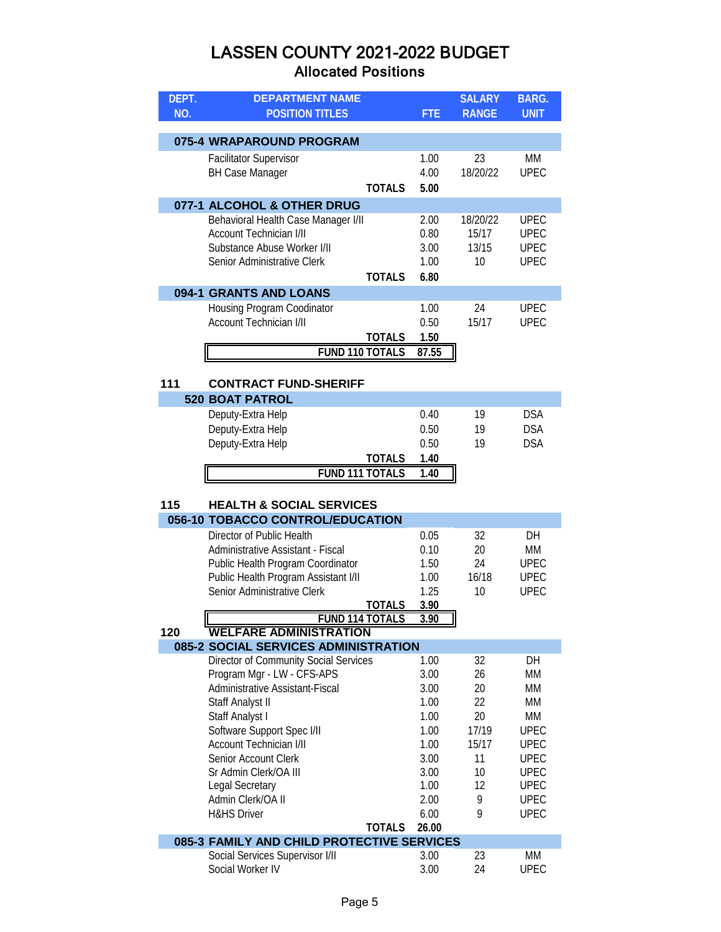| DEPT. | <b>DEPARTMENT NAME</b>                       |               |            | <b>SALARY</b> | <b>BARG.</b> |
|-------|----------------------------------------------|---------------|------------|---------------|--------------|
| NO.   | <b>POSITION TITLES</b>                       |               | <b>FTE</b> | <b>RANGE</b>  | <b>UNIT</b>  |
|       |                                              |               |            |               |              |
|       | 075-4 WRAPAROUND PROGRAM                     |               |            |               |              |
|       | <b>Facilitator Supervisor</b>                |               | 1.00       | 23            | MM           |
|       | <b>BH Case Manager</b>                       |               | 4.00       | 18/20/22      | <b>UPEC</b>  |
|       |                                              | <b>TOTALS</b> | 5.00       |               |              |
|       | 077-1 ALCOHOL & OTHER DRUG                   |               |            |               |              |
|       | Behavioral Health Case Manager I/II          |               | 2.00       | 18/20/22      | <b>UPEC</b>  |
|       | <b>Account Technician I/II</b>               |               | 0.80       | 15/17         | <b>UPEC</b>  |
|       | Substance Abuse Worker I/II                  |               | 3.00       | 13/15         | <b>UPEC</b>  |
|       | Senior Administrative Clerk                  |               | 1.00       | 10            | <b>UPEC</b>  |
|       |                                              | <b>TOTALS</b> | 6.80       |               |              |
|       | 094-1 GRANTS AND LOANS                       |               |            |               |              |
|       | Housing Program Coodinator                   |               | 1.00       | 24            | <b>UPEC</b>  |
|       | <b>Account Technician I/II</b>               |               | 0.50       | 15/17         | <b>UPEC</b>  |
|       |                                              | <b>TOTALS</b> | 1.50       |               |              |
|       | <b>FUND 110 TOTALS</b>                       |               | 87.55      |               |              |
|       |                                              |               |            |               |              |
| 111   | <b>CONTRACT FUND-SHERIFF</b>                 |               |            |               |              |
|       | <b>520 BOAT PATROL</b>                       |               |            |               |              |
|       | Deputy-Extra Help                            |               | 0.40       | 19            | <b>DSA</b>   |
|       | Deputy-Extra Help                            |               | 0.50       | 19            | <b>DSA</b>   |
|       | Deputy-Extra Help                            |               | 0.50       | 19            | <b>DSA</b>   |
|       |                                              | <b>TOTALS</b> | 1.40       |               |              |
|       | <b>FUND 111 TOTALS</b>                       |               | 1.40       |               |              |
|       |                                              |               |            |               |              |
| 115   | <b>HEALTH &amp; SOCIAL SERVICES</b>          |               |            |               |              |
|       | 056-10 TOBACCO CONTROL/EDUCATION             |               |            |               |              |
|       | Director of Public Health                    |               | 0.05       | 32            | DH           |
|       | Administrative Assistant - Fiscal            |               | 0.10       | 20            | MM           |
|       | Public Health Program Coordinator            |               | 1.50       | 24            | <b>UPEC</b>  |
|       | Public Health Program Assistant I/II         |               | 1.00       | 16/18         | <b>UPEC</b>  |
|       | Senior Administrative Clerk                  |               | 1.25       | 10            | <b>UPEC</b>  |
|       |                                              | <b>TOTALS</b> | 3.90       |               |              |
|       | <b>FUND 114 TOTALS</b>                       |               | 3.90       |               |              |
| 120   | <b>WELFARE ADMINISTRATION</b>                |               |            |               |              |
|       | 085-2 SOCIAL SERVICES ADMINISTRATION         |               |            |               |              |
|       | <b>Director of Community Social Services</b> |               | 1.00       | 32            | DH           |
|       | Program Mgr - LW - CFS-APS                   |               | 3.00       | 26            | МM           |
|       | Administrative Assistant-Fiscal              |               | 3.00       | 20            | МM           |
|       | Staff Analyst II                             |               | 1.00       | 22            | МM           |
|       | Staff Analyst I                              |               | 1.00       | 20            | МM           |
|       | Software Support Spec I/II                   |               | 1.00       | 17/19         | <b>UPEC</b>  |
|       | <b>Account Technician I/II</b>               |               | 1.00       | 15/17         | <b>UPEC</b>  |
|       | Senior Account Clerk                         |               | 3.00       | 11            | <b>UPEC</b>  |
|       | Sr Admin Clerk/OA III                        |               | 3.00       | 10            | <b>UPEC</b>  |
|       | Legal Secretary                              |               | 1.00       | 12            | <b>UPEC</b>  |

| Admin Clerk/OA II                          |              | 2.00 |    | LIPEC. |  |  |
|--------------------------------------------|--------------|------|----|--------|--|--|
| <b>H&amp;HS Driver</b>                     |              | 6.00 |    | UPFC.  |  |  |
|                                            | TOTALS 26.00 |      |    |        |  |  |
| 085-3 FAMILY AND CHILD PROTECTIVE SERVICES |              |      |    |        |  |  |
| Social Services Supervisor I/II            |              | 3.00 | 23 | МM     |  |  |
| Social Worker IV                           |              | 3.00 | 24 | UPEC.  |  |  |
|                                            |              |      |    |        |  |  |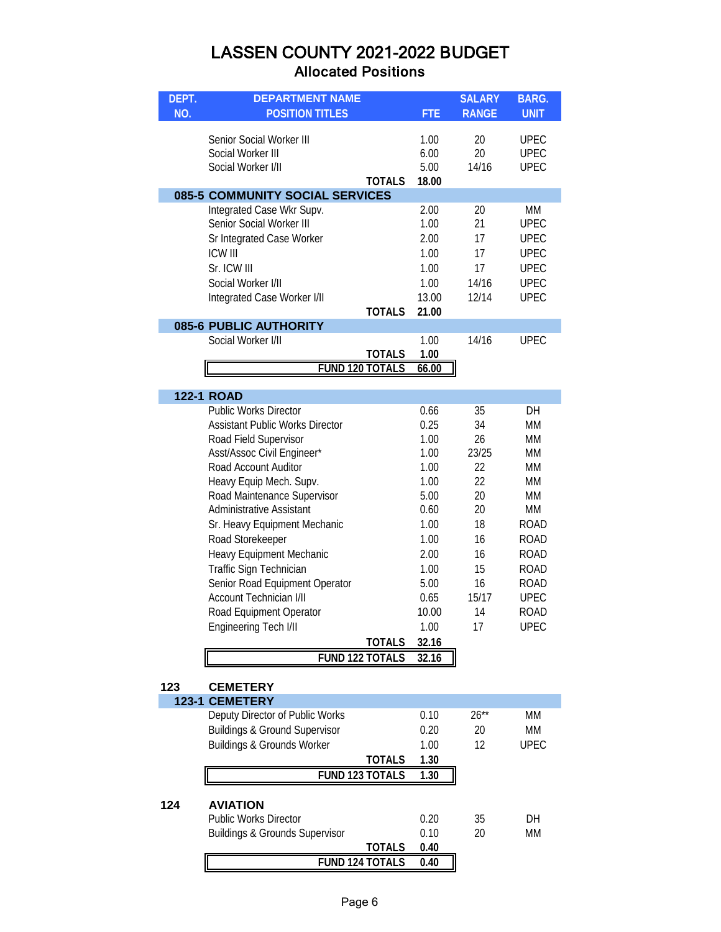| DEPT. | <b>DEPARTMENT NAME</b>                                                                                                                                                                                                                                                                                                                                                                                                                                                                                   |                                         |                                                                                                                                                 | <b>SALARY</b>                                                                                      | <b>BARG.</b>                                                                                                                                           |
|-------|----------------------------------------------------------------------------------------------------------------------------------------------------------------------------------------------------------------------------------------------------------------------------------------------------------------------------------------------------------------------------------------------------------------------------------------------------------------------------------------------------------|-----------------------------------------|-------------------------------------------------------------------------------------------------------------------------------------------------|----------------------------------------------------------------------------------------------------|--------------------------------------------------------------------------------------------------------------------------------------------------------|
| NO.   | <b>POSITION TITLES</b>                                                                                                                                                                                                                                                                                                                                                                                                                                                                                   |                                         | <b>FTE</b>                                                                                                                                      | <b>RANGE</b>                                                                                       | <b>UNIT</b>                                                                                                                                            |
|       | Senior Social Worker III<br>Social Worker III<br>Social Worker I/II                                                                                                                                                                                                                                                                                                                                                                                                                                      | <b>TOTALS</b>                           | 1.00<br>6.00<br>5.00<br>18.00                                                                                                                   | 20<br>20<br>14/16                                                                                  | <b>UPEC</b><br><b>UPEC</b><br><b>UPEC</b>                                                                                                              |
|       | 085-5 COMMUNITY SOCIAL SERVICES<br>Integrated Case Wkr Supv.<br>Senior Social Worker III<br>Sr Integrated Case Worker<br><b>ICW III</b><br>Sr. ICW III<br>Social Worker I/II<br>Integrated Case Worker I/II<br>085-6 PUBLIC AUTHORITY                                                                                                                                                                                                                                                                    | <b>TOTALS</b>                           | 2.00<br>1.00<br>2.00<br>1.00<br>1.00<br>1.00<br>13.00<br>21.00                                                                                  | 20<br>21<br>17<br>17<br>17<br>14/16<br>12/14                                                       | МM<br><b>UPEC</b><br><b>UPEC</b><br><b>UPEC</b><br><b>UPEC</b><br><b>UPEC</b><br><b>UPEC</b>                                                           |
|       | Social Worker I/II                                                                                                                                                                                                                                                                                                                                                                                                                                                                                       |                                         | 1.00                                                                                                                                            | 14/16                                                                                              | <b>UPEC</b>                                                                                                                                            |
|       |                                                                                                                                                                                                                                                                                                                                                                                                                                                                                                          | <b>TOTALS</b>                           | 1.00                                                                                                                                            |                                                                                                    |                                                                                                                                                        |
|       |                                                                                                                                                                                                                                                                                                                                                                                                                                                                                                          | <b>FUND 120 TOTALS</b>                  | 66.00                                                                                                                                           |                                                                                                    |                                                                                                                                                        |
|       |                                                                                                                                                                                                                                                                                                                                                                                                                                                                                                          |                                         |                                                                                                                                                 |                                                                                                    |                                                                                                                                                        |
|       | <b>122-1 ROAD</b>                                                                                                                                                                                                                                                                                                                                                                                                                                                                                        |                                         |                                                                                                                                                 |                                                                                                    |                                                                                                                                                        |
| 123   | <b>Public Works Director</b><br><b>Assistant Public Works Director</b><br>Road Field Supervisor<br>Asst/Assoc Civil Engineer*<br>Road Account Auditor<br>Heavy Equip Mech. Supv.<br>Road Maintenance Supervisor<br><b>Administrative Assistant</b><br>Sr. Heavy Equipment Mechanic<br>Road Storekeeper<br>Heavy Equipment Mechanic<br>Traffic Sign Technician<br>Senior Road Equipment Operator<br><b>Account Technician I/II</b><br>Road Equipment Operator<br>Engineering Tech I/II<br><b>CEMETERY</b> | <b>TOTALS</b><br><b>FUND 122 TOTALS</b> | 0.66<br>0.25<br>1.00<br>1.00<br>1.00<br>1.00<br>5.00<br>0.60<br>1.00<br>1.00<br>2.00<br>1.00<br>5.00<br>0.65<br>10.00<br>1.00<br>32.16<br>32.16 | 35<br>34<br>26<br>23/25<br>22<br>22<br>20<br>20<br>18<br>16<br>16<br>15<br>16<br>15/17<br>14<br>17 | DH<br>МM<br>МM<br>МM<br>МM<br>МM<br>МM<br>MM<br><b>ROAD</b><br><b>ROAD</b><br>ROAD<br><b>ROAD</b><br>ROAD<br><b>UPEC</b><br><b>ROAD</b><br><b>UPEC</b> |
|       | <b>123-1 CEMETERY</b>                                                                                                                                                                                                                                                                                                                                                                                                                                                                                    |                                         |                                                                                                                                                 |                                                                                                    |                                                                                                                                                        |
|       | Deputy Director of Public Works<br><b>Buildings &amp; Ground Supervisor</b><br>Buildings & Grounds Worker                                                                                                                                                                                                                                                                                                                                                                                                | <b>TOTALS</b><br>FUND 123 TOTALS        | 0.10<br>0.20<br>1.00<br>1.30<br>1.30                                                                                                            | $26**$<br>20<br>12                                                                                 | MM<br>MM<br><b>UPEC</b>                                                                                                                                |
| 124   | <b>AVIATION</b><br><b>Public Works Director</b><br><b>Buildings &amp; Grounds Supervisor</b>                                                                                                                                                                                                                                                                                                                                                                                                             | <b>TOTALS</b><br>FUND 124 TOTALS        | 0.20<br>0.10<br>0.40<br>0.40                                                                                                                    | 35<br>20                                                                                           | DH<br><b>MM</b>                                                                                                                                        |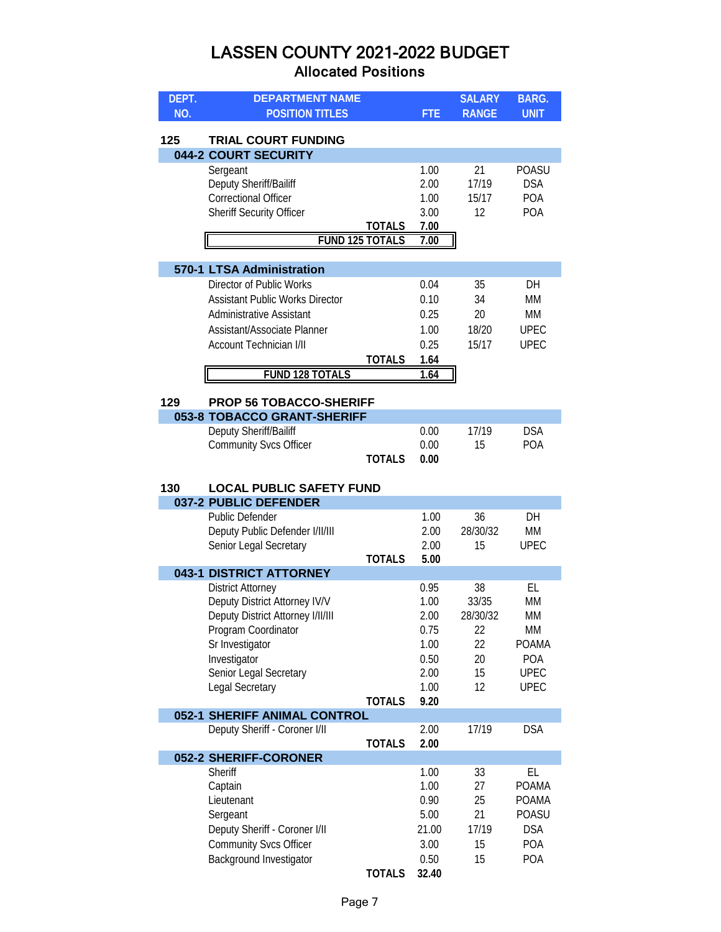| DEPT. | <b>DEPARTMENT NAME</b>                             |                        |              | <b>SALARY</b> | <b>BARG.</b>       |
|-------|----------------------------------------------------|------------------------|--------------|---------------|--------------------|
| NO.   | <b>POSITION TITLES</b>                             |                        | <b>FTE</b>   | <b>RANGE</b>  | <b>UNIT</b>        |
|       |                                                    |                        |              |               |                    |
| 125   | <b>TRIAL COURT FUNDING</b><br>044-2 COURT SECURITY |                        |              |               |                    |
|       | Sergeant                                           |                        | 1.00         | 21            | <b>POASU</b>       |
|       | Deputy Sheriff/Bailiff                             |                        | 2.00         | 17/19         | <b>DSA</b>         |
|       | <b>Correctional Officer</b>                        |                        | 1.00         | 15/17         | POA                |
|       | <b>Sheriff Security Officer</b>                    |                        | 3.00         | 12            | <b>POA</b>         |
|       |                                                    | <b>TOTALS</b>          | 7.00         |               |                    |
|       |                                                    | <b>FUND 125 TOTALS</b> | 7.00         |               |                    |
|       |                                                    |                        |              |               |                    |
|       | 570-1 LTSA Administration                          |                        |              |               |                    |
|       | Director of Public Works                           |                        | 0.04         | 35            | DH                 |
|       | <b>Assistant Public Works Director</b>             |                        | 0.10         | 34            | МM                 |
|       | <b>Administrative Assistant</b>                    |                        | 0.25         | 20            | МM                 |
|       | Assistant/Associate Planner                        |                        | 1.00         | 18/20         | <b>UPEC</b>        |
|       | <b>Account Technician I/II</b>                     |                        | 0.25         | 15/17         | <b>UPEC</b>        |
|       |                                                    | <b>TOTALS</b>          | 1.64         |               |                    |
|       | <b>FUND 128 TOTALS</b>                             |                        | 1.64         |               |                    |
| 129   | <b>PROP 56 TOBACCO-SHERIFF</b>                     |                        |              |               |                    |
|       | 053-8 TOBACCO GRANT-SHERIFF                        |                        |              |               |                    |
|       | Deputy Sheriff/Bailiff                             |                        | 0.00         | 17/19         | <b>DSA</b>         |
|       | <b>Community Svcs Officer</b>                      |                        | 0.00         | 15            | <b>POA</b>         |
|       |                                                    | <b>TOTALS</b>          | 0.00         |               |                    |
|       |                                                    |                        |              |               |                    |
| 130   | <b>LOCAL PUBLIC SAFETY FUND</b>                    |                        |              |               |                    |
|       | 037-2 PUBLIC DEFENDER<br><b>Public Defender</b>    |                        | 1.00         | 36            | DH                 |
|       | Deputy Public Defender I/II/III                    |                        | 2.00         | 28/30/32      | <b>MM</b>          |
|       | Senior Legal Secretary                             |                        | 2.00         | 15            | <b>UPEC</b>        |
|       |                                                    | <b>TOTALS</b>          | 5.00         |               |                    |
|       | 043-1 DISTRICT ATTORNEY                            |                        |              |               |                    |
|       | <b>District Attorney</b>                           |                        | 0.95         | 38            | EL                 |
|       | Deputy District Attorney IV/V                      |                        | 1.00         | 33/35         | <b>MM</b>          |
|       | Deputy District Attorney I/II/III                  |                        | 2.00         | 28/30/32      | МM                 |
|       | Program Coordinator                                |                        | 0.75         | 22            | MM                 |
|       | Sr Investigator                                    |                        | 1.00         | 22            | <b>POAMA</b>       |
|       | Investigator<br>Senior Legal Secretary             |                        | 0.50<br>2.00 | 20<br>15      | POA<br><b>UPEC</b> |
|       | Legal Secretary                                    |                        | 1.00         | 12            | <b>UPEC</b>        |
|       |                                                    | <b>TOTALS</b>          | 9.20         |               |                    |
|       | 052-1 SHERIFF ANIMAL CONTROL                       |                        |              |               |                    |
|       | Deputy Sheriff - Coroner I/II                      |                        | 2.00         | 17/19         | <b>DSA</b>         |
|       |                                                    | <b>TOTALS</b>          | 2.00         |               |                    |
|       | 052-2 SHERIFF-CORONER                              |                        |              |               |                    |
|       | Sheriff                                            |                        | 1.00         | 33            | EL                 |
|       | Captain                                            |                        | 1.00         | 27            | <b>POAMA</b>       |
|       | Lieutenant                                         |                        | 0.90         | 25            | <b>POAMA</b>       |
|       | Sergeant                                           |                        | 5.00         | 21            | POASU              |
|       | Deputy Sheriff - Coroner I/II                      |                        | 21.00        | 17/19         | <b>DSA</b>         |
|       | <b>Community Svcs Officer</b>                      |                        | 3.00<br>0.50 | 15<br>15      | POA<br><b>POA</b>  |
|       | Background Investigator                            | <b>TOTALS</b>          | 32.40        |               |                    |
|       |                                                    |                        |              |               |                    |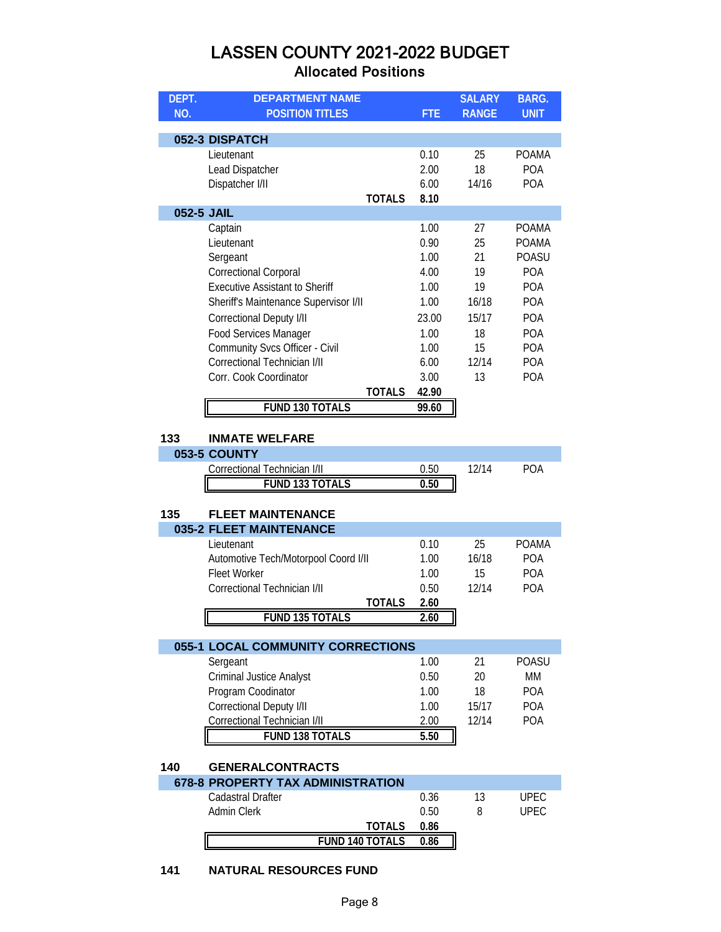| DEPT.      | <b>DEPARTMENT NAME</b>                |               |            | <b>SALARY</b> | <b>BARG.</b> |
|------------|---------------------------------------|---------------|------------|---------------|--------------|
| NO.        | <b>POSITION TITLES</b>                |               | <b>FTE</b> | <b>RANGE</b>  | <b>UNIT</b>  |
|            |                                       |               |            |               |              |
|            | 052-3 DISPATCH                        |               |            |               |              |
|            | Lieutenant                            |               | 0.10       | 25            | <b>POAMA</b> |
|            | Lead Dispatcher                       |               | 2.00       | 18            | <b>POA</b>   |
|            | Dispatcher I/II                       |               | 6.00       | 14/16         | <b>POA</b>   |
|            |                                       | <b>TOTALS</b> | 8.10       |               |              |
| 052-5 JAIL |                                       |               |            |               |              |
|            | Captain                               |               | 1.00       | 27            | <b>POAMA</b> |
|            | Lieutenant                            |               | 0.90       | 25            | <b>POAMA</b> |
|            | Sergeant                              |               | 1.00       | 21            | <b>POASU</b> |
|            | <b>Correctional Corporal</b>          |               | 4.00       | 19            | <b>POA</b>   |
|            | <b>Executive Assistant to Sheriff</b> |               | 1.00       | 19            | <b>POA</b>   |
|            | Sheriff's Maintenance Supervisor I/II |               | 1.00       | 16/18         | <b>POA</b>   |
|            | Correctional Deputy I/II              |               | 23.00      | 15/17         | <b>POA</b>   |
|            | <b>Food Services Manager</b>          |               | 1.00       | 18            | <b>POA</b>   |
|            | <b>Community Svcs Officer - Civil</b> |               | 1.00       | 15            | <b>POA</b>   |
|            | Correctional Technician I/II          |               | 6.00       | 12/14         | <b>POA</b>   |
|            | Corr. Cook Coordinator                |               | 3.00       | 13            | <b>POA</b>   |
|            |                                       | <b>TOTALS</b> | 42.90      |               |              |
|            | <b>FUND 130 TOTALS</b>                |               | 99.60      |               |              |

#### **133 INMATE WELFARE**

| 053-5 COUNTY                 |      |  |
|------------------------------|------|--|
| Correctional Technician I/II |      |  |
| <b>FUND 133 TOTALS</b>       | 0.50 |  |

# **135 FLEET MAINTENANCE**

| <b>035-2 FLEET MAINTENANCE</b>       |      |       |              |
|--------------------------------------|------|-------|--------------|
| Lieutenant                           | 0.10 | 25    | <b>POAMA</b> |
| Automotive Tech/Motorpool Coord I/II | 1.00 | 16/18 | <b>POA</b>   |
| Fleet Worker                         | 1.00 | 15    | <b>POA</b>   |
| Correctional Technician I/II         | 0.50 | 12/14 | <b>POA</b>   |
| TOTAI S                              | 2.60 |       |              |
| <b>FUND 135 TOTALS</b>               | 2.60 |       |              |

| <b>055-1 LOCAL COMMUNITY CORRECTIONS</b> |      |       |              |
|------------------------------------------|------|-------|--------------|
| Sergeant                                 | 1.00 | 21    | <b>POASU</b> |
| <b>Criminal Justice Analyst</b>          | 0.50 | 20    | <b>MM</b>    |
| Program Coodinator                       | 1.00 | 18    | <b>POA</b>   |
| Correctional Deputy I/II                 | 1.00 | 15/17 | <b>POA</b>   |
| Correctional Technician I/II             | 2.00 | 12/14 | <b>POA</b>   |
| <b>FUND 138 TOTALS</b>                   | 5.50 |       |              |

#### **140 GENERALCONTRACTS**

| <b>678-8 PROPERTY TAX ADMINISTRATION</b> |                        |      |        |
|------------------------------------------|------------------------|------|--------|
| Cadastral Drafter                        |                        | 0.36 | LIPEC. |
| Admin Clerk                              |                        | 0.50 | UPEC.  |
|                                          | TOTALS                 | 0.86 |        |
|                                          | <b>FUND 140 TOTALS</b> | 0.86 |        |

#### **141 NATURAL RESOURCES FUND**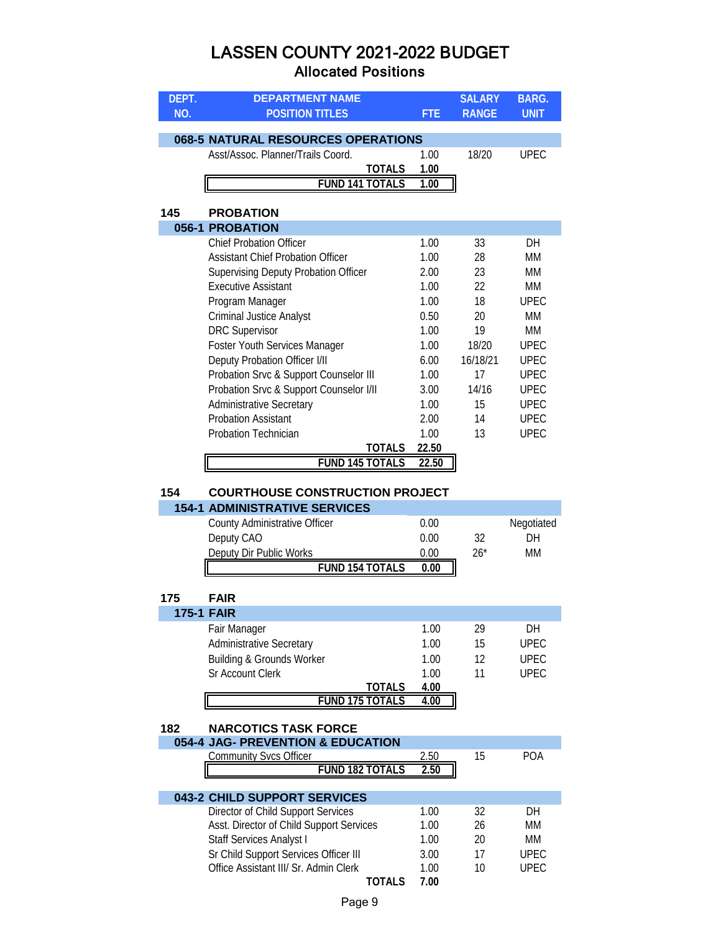| DEPT.<br><b>DEPARTMENT NAME</b>               |                        | <b>SALARY</b> | <b>BARG.</b> |
|-----------------------------------------------|------------------------|---------------|--------------|
| NO.<br><b>POSITION TITLES</b>                 | <b>FTE</b>             | <b>RANGE</b>  | <b>UNIT</b>  |
|                                               |                        |               |              |
| 068-5 NATURAL RESOURCES OPERATIONS            |                        |               |              |
| Asst/Assoc. Planner/Trails Coord.             | 1.00                   | 18/20         | <b>UPEC</b>  |
|                                               | <b>TOTALS</b><br>1.00  |               |              |
| <b>FUND 141 TOTALS</b>                        | 1.00                   |               |              |
| 145<br><b>PROBATION</b>                       |                        |               |              |
| 056-1 PROBATION                               |                        |               |              |
| <b>Chief Probation Officer</b>                | 1.00                   | 33            | DH           |
| <b>Assistant Chief Probation Officer</b>      | 1.00                   | 28            | MM           |
| <b>Supervising Deputy Probation Officer</b>   | 2.00                   | 23            | MM           |
| <b>Executive Assistant</b>                    | 1.00                   | 22            | MM           |
| Program Manager                               | 1.00                   | 18            | <b>UPEC</b>  |
| <b>Criminal Justice Analyst</b>               | 0.50                   | 20            | <b>MM</b>    |
| <b>DRC Supervisor</b>                         | 1.00                   | 19            | <b>MM</b>    |
| Foster Youth Services Manager                 | 1.00                   | 18/20         | <b>UPEC</b>  |
| Deputy Probation Officer I/II                 | 6.00                   | 16/18/21      | <b>UPEC</b>  |
| Probation Srvc & Support Counselor III        | 1.00                   | 17            | <b>UPEC</b>  |
| Probation Srvc & Support Counselor I/II       | 3.00                   | 14/16         | <b>UPEC</b>  |
| <b>Administrative Secretary</b>               | 1.00                   | 15            | <b>UPEC</b>  |
| <b>Probation Assistant</b>                    | 2.00                   | 14            | <b>UPEC</b>  |
| Probation Technician                          | 1.00                   | 13            | <b>UPEC</b>  |
|                                               | <b>TOTALS</b><br>22.50 |               |              |
| <b>FUND 145 TOTALS</b>                        | 22.50                  |               |              |
|                                               |                        |               |              |
| 154<br><b>COURTHOUSE CONSTRUCTION PROJECT</b> |                        |               |              |
| <b>154-1 ADMINISTRATIVE SERVICES</b>          |                        |               |              |
| County Administrative Officer                 | 0.00                   |               | Negotiated   |
| Deputy CAO                                    | 0.00                   | 32            | DH           |
| Deputy Dir Public Works                       | 0.00                   | $26*$         | <b>MM</b>    |
| <b>FUND 154 TOTALS</b>                        | 0.00                   |               |              |
| 175<br><b>FAIR</b>                            |                        |               |              |
| <b>175-1 FAIR</b>                             |                        |               |              |
| Fair Manager                                  | 1.00                   | 29            | DH           |
| Administrative Secretary                      | 1.00                   | 15            | <b>UPEC</b>  |
| <b>Building &amp; Grounds Worker</b>          | 1.00                   | 12            | <b>UPEC</b>  |
| Sr Account Clerk                              | 1.00                   | 11            | <b>UPEC</b>  |
|                                               | 4.00<br><u>TOTALS</u>  |               |              |
| <b>FUND 175 TOTALS</b>                        | 4.00                   |               |              |
|                                               |                        |               |              |
| 182<br><b>NARCOTICS TASK FORCE</b>            |                        |               |              |

| 054-4 JAG- PREVENTION & EDUCATION |      |     |
|-----------------------------------|------|-----|
| Community Svcs Officer            | h(   | POA |
| FUND 182 TOTALS                   | 2.50 |     |
|                                   |      |     |

| 043-2 CHILD SUPPORT SERVICES             |      |    |       |
|------------------------------------------|------|----|-------|
| Director of Child Support Services       | 1.00 | 32 | DН    |
| Asst. Director of Child Support Services | 1.00 | 26 | MM    |
| <b>Staff Services Analyst I</b>          | 1.00 | 20 | MМ    |
| Sr Child Support Services Officer III    | 3.00 | 17 | UPFC. |
| Office Assistant III/ Sr. Admin Clerk    | 1.00 | 10 | UPFC. |
|                                          | 7 00 |    |       |